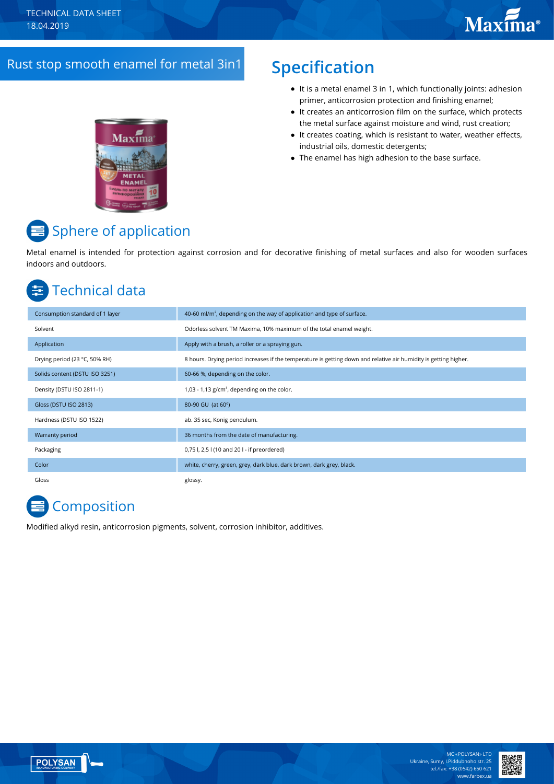### Rust stop smooth enamel for metal 3in1 **Specification**

- It is a metal enamel 3 in 1, which functionally joints: adhesion primer, anticorrosion protection and finishing enamel;
- It creates an anticorrosion film on the surface, which protects the metal surface against moisture and wind, rust creation;
- $\bullet$  It creates coating, which is resistant to water, weather effects, industrial oils, domestic detergents;
- The enamel has high adhesion to the base surface.



# Sphere of application

Metal enamel is intended for protection against corrosion and for decorative finishing of metal surfaces and also for wooden surfaces indoors and outdoors.

# Technical data

| Consumption standard of 1 layer | 40-60 ml/m <sup>2</sup> , depending on the way of application and type of surface.                               |
|---------------------------------|------------------------------------------------------------------------------------------------------------------|
| Solvent                         | Odorless solvent TM Maxima, 10% maximum of the total enamel weight.                                              |
| Application                     | Apply with a brush, a roller or a spraying gun.                                                                  |
| Drying period (23 °C, 50% RH)   | 8 hours. Drying period increases if the temperature is getting down and relative air humidity is getting higher. |
| Solids content (DSTU ISO 3251)  | 60-66 %, depending on the color.                                                                                 |
| Density (DSTU ISO 2811-1)       | 1,03 - 1,13 $g/cm^3$ , depending on the color.                                                                   |
| Gloss (DSTU ISO 2813)           | 80-90 GU (at 60°)                                                                                                |
| Hardness (DSTU ISO 1522)        | ab. 35 sec, Konig pendulum.                                                                                      |
| Warranty period                 | 36 months from the date of manufacturing.                                                                        |
| Packaging                       | 0,75 l, 2,5 l (10 and 20 l - if preordered)                                                                      |
| Color                           | white, cherry, green, grey, dark blue, dark brown, dark grey, black.                                             |
| Gloss                           | glossy.                                                                                                          |

# **Composition**

Modified alkyd resin, anticorrosion pigments, solvent, corrosion inhibitor, additives.